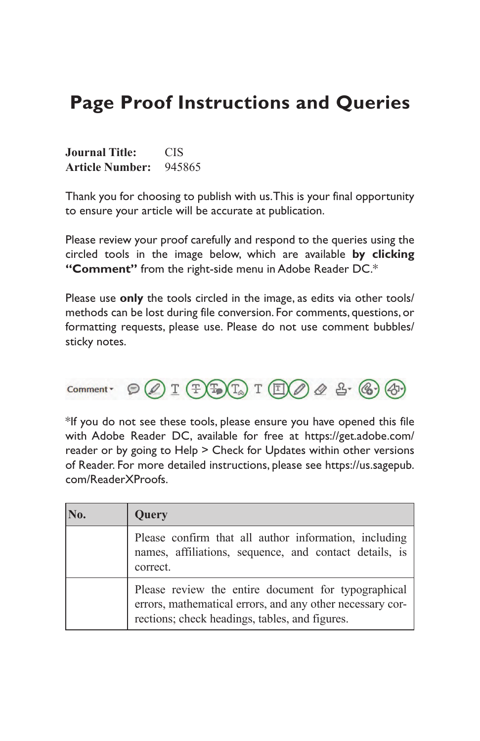## **Page Proof Instructions and Queries**

**Journal Title:** CIS **Article Number:** 945865

Thank you for choosing to publish with us. This is your final opportunity to ensure your article will be accurate at publication.

Please review your proof carefully and respond to the queries using the circled tools in the image below, which are available **by clicking "Comment"** from the right-side menu in Adobe Reader DC.\*

Please use **only** the tools circled in the image, as edits via other tools/ methods can be lost during file conversion. For comments, questions, or formatting requests, please use. Please do not use comment bubbles/ sticky notes.



\*If you do not see these tools, please ensure you have opened this file with Adobe Reader DC, available for free at https://get.adobe.com/ reader or by going to Help > Check for Updates within other versions of Reader. For more detailed instructions, please see https://us.sagepub. com/ReaderXProofs.

| No. | Query                                                                                                                                                              |
|-----|--------------------------------------------------------------------------------------------------------------------------------------------------------------------|
|     | Please confirm that all author information, including<br>names, affiliations, sequence, and contact details, is<br>correct.                                        |
|     | Please review the entire document for typographical<br>errors, mathematical errors, and any other necessary cor-<br>rections; check headings, tables, and figures. |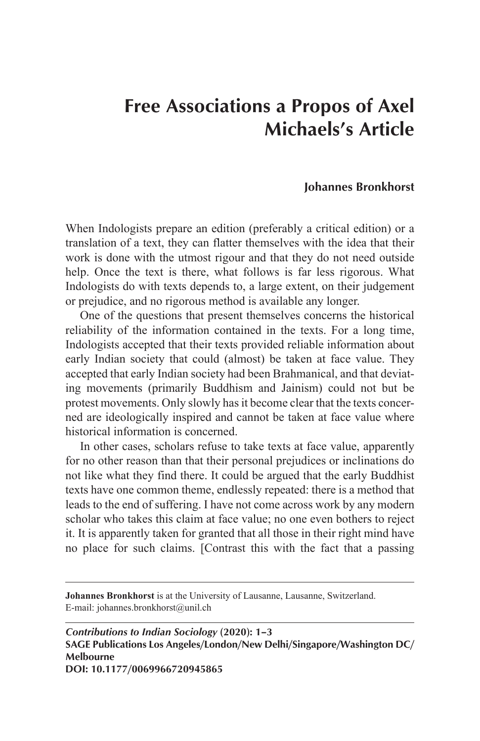## **Free Associations a Propos of Axel Michaels's Article**

## **Johannes Bronkhorst**

When Indologists prepare an edition (preferably a critical edition) or a translation of a text, they can flatter themselves with the idea that their work is done with the utmost rigour and that they do not need outside help. Once the text is there, what follows is far less rigorous. What Indologists do with texts depends to, a large extent, on their judgement or prejudice, and no rigorous method is available any longer.

One of the questions that present themselves concerns the historical reliability of the information contained in the texts. For a long time, Indologists accepted that their texts provided reliable information about early Indian society that could (almost) be taken at face value. They accepted that early Indian society had been Brahmanical, and that deviating movements (primarily Buddhism and Jainism) could not but be protest movements. Only slowly has it become clear that the texts concerned are ideologically inspired and cannot be taken at face value where historical information is concerned.

In other cases, scholars refuse to take texts at face value, apparently for no other reason than that their personal prejudices or inclinations do not like what they find there. It could be argued that the early Buddhist texts have one common theme, endlessly repeated: there is a method that leads to the end of suffering. I have not come across work by any modern scholar who takes this claim at face value; no one even bothers to reject it. It is apparently taken for granted that all those in their right mind have no place for such claims. [Contrast this with the fact that a passing

**Johannes Bronkhorst** is at the University of Lausanne, Lausanne, Switzerland. E-mail: johannes.bronkhorst@unil.ch

*Contributions to Indian Sociology* **(2020): 1–3 SAGE Publications Los Angeles/London/New Delhi/Singapore/Washington DC/ Melbourne DOI: 10.1177/0069966720945865**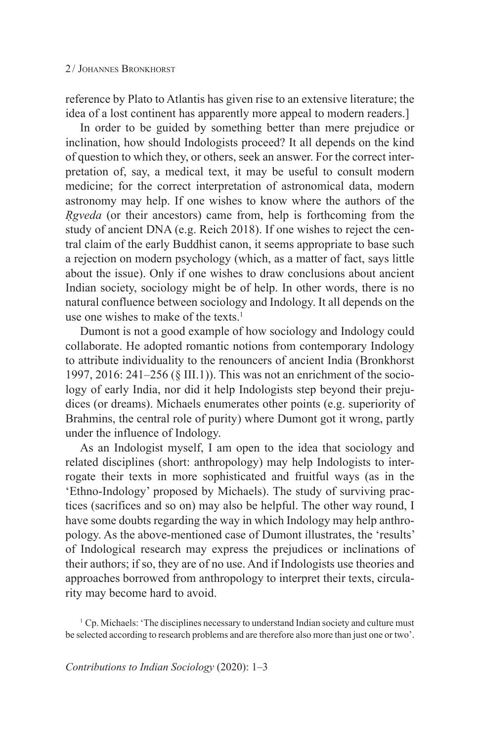reference by Plato to Atlantis has given rise to an extensive literature; the idea of a lost continent has apparently more appeal to modern readers.]

In order to be guided by something better than mere prejudice or inclination, how should Indologists proceed? It all depends on the kind of question to which they, or others, seek an answer. For the correct interpretation of, say, a medical text, it may be useful to consult modern medicine; for the correct interpretation of astronomical data, modern astronomy may help. If one wishes to know where the authors of the *Ṛgveda* (or their ancestors) came from, help is forthcoming from the study of ancient DNA (e.g. Reich 2018). If one wishes to reject the central claim of the early Buddhist canon, it seems appropriate to base such a rejection on modern psychology (which, as a matter of fact, says little about the issue). Only if one wishes to draw conclusions about ancient Indian society, sociology might be of help. In other words, there is no natural confluence between sociology and Indology. It all depends on the use one wishes to make of the texts.<sup>1</sup>

Dumont is not a good example of how sociology and Indology could collaborate. He adopted romantic notions from contemporary Indology to attribute individuality to the renouncers of ancient India (Bronkhorst 1997, 2016: 241–256 (§ III.1)). This was not an enrichment of the sociology of early India, nor did it help Indologists step beyond their prejudices (or dreams). Michaels enumerates other points (e.g. superiority of Brahmins, the central role of purity) where Dumont got it wrong, partly under the influence of Indology.

As an Indologist myself, I am open to the idea that sociology and related disciplines (short: anthropology) may help Indologists to interrogate their texts in more sophisticated and fruitful ways (as in the 'Ethno-Indology' proposed by Michaels). The study of surviving practices (sacrifices and so on) may also be helpful. The other way round, I have some doubts regarding the way in which Indology may help anthropology. As the above-mentioned case of Dumont illustrates, the 'results' of Indological research may express the prejudices or inclinations of their authors; if so, they are of no use. And if Indologists use theories and approaches borrowed from anthropology to interpret their texts, circularity may become hard to avoid.

<sup>1</sup> Cp. Michaels: 'The disciplines necessary to understand Indian society and culture must be selected according to research problems and are therefore also more than just one or two'.